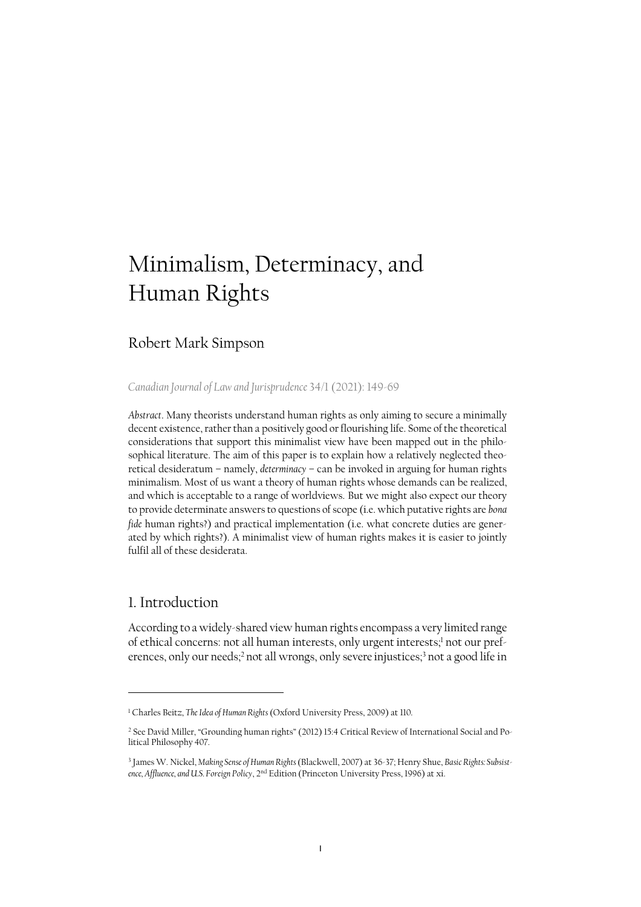# Minimalism, Determinacy, and Human Rights

# Robert Mark Simpson

*[Canadian Journal of Law and Jurisprudence](https://www.cambridge.org/core/journals/canadian-journal-of-law-and-jurisprudence/article/abs/minimalism-determinacy-and-human-rights/708BA702EE2F4A5348CC7838039EEC14)* 34/1 (2021): 149-69

*Abstract*. Many theorists understand human rights as only aiming to secure a minimally decent existence, rather than a positively good or flourishing life. Some of the theoretical considerations that support this minimalist view have been mapped out in the philosophical literature. The aim of this paper is to explain how a relatively neglected theoretical desideratum – namely, *determinacy* – can be invoked in arguing for human rights minimalism. Most of us want a theory of human rights whose demands can be realized, and which is acceptable to a range of worldviews. But we might also expect our theory to provide determinate answers to questions of scope (i.e. which putative rights are *bona fide* human rights?) and practical implementation (i.e. what concrete duties are generated by which rights?). A minimalist view of human rights makes it is easier to jointly fulfil all of these desiderata.

## 1. Introduction

According to a widely-shared view human rights encompass a very limited range of ethical concerns: not all human interests, only urgent interests;<sup>1</sup> not our preferences, only our needs;<sup>2</sup> not all wrongs, only severe injustices;<sup>3</sup> not a good life in

<sup>&</sup>lt;sup>1</sup> Charles Beitz, *The Idea of Human Rights* (Oxford University Press, 2009) at 110.

<sup>2</sup> See David Miller, "Grounding human rights" (2012) 15:4 Critical Review of International Social and Political Philosophy 407.

<sup>3</sup> James W. Nickel, *Making Sense of Human Rights* (Blackwell, 2007) at 36-37; Henry Shue, *Basic Rights: Subsistence, Affluence, and U.S. Foreign Policy*, 2nd Edition (Princeton University Press, 1996) at xi.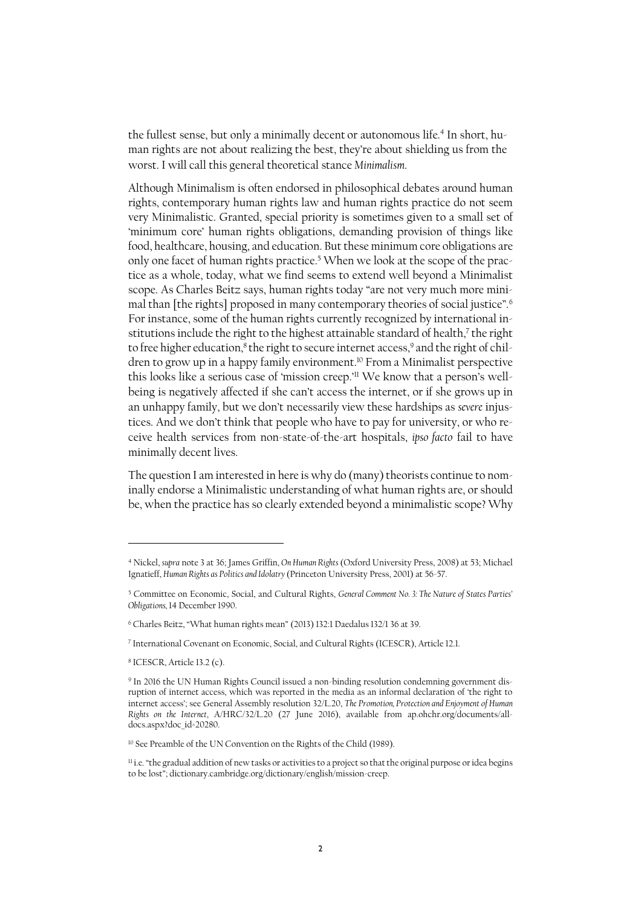the fullest sense, but only a minimally decent or autonomous life.<sup>4</sup> In short, human rights are not about realizing the best, they're about shielding us from the worst. I will call this general theoretical stance *Minimalism*.

Although Minimalism is often endorsed in philosophical debates around human rights, contemporary human rights law and human rights practice do not seem very Minimalistic. Granted, special priority is sometimes given to a small set of 'minimum core' human rights obligations, demanding provision of things like food, healthcare, housing, and education. But these minimum core obligations are only one facet of human rights practice. <sup>5</sup> When we look at the scope of the practice as a whole, today, what we find seems to extend well beyond a Minimalist scope. As Charles Beitz says, human rights today "are not very much more minimal than [the rights] proposed in many contemporary theories of social justice".<sup>6</sup> For instance, some of the human rights currently recognized by international institutions include the right to the highest attainable standard of health,<sup>7</sup> the right to free higher education, $^8$  the right to secure internet access, $^9$  and the right of children to grow up in a happy family environment. <sup>10</sup> From a Minimalist perspective this looks like a serious case of 'mission creep.' <sup>11</sup> We know that a person's wellbeing is negatively affected if she can't access the internet, or if she grows up in an unhappy family, but we don't necessarily view these hardships as *severe* injustices. And we don't think that people who have to pay for university, or who receive health services from non-state-of-the-art hospitals, *ipso facto* fail to have minimally decent lives.

The question I am interested in here is why do (many) theorists continue to nominally endorse a Minimalistic understanding of what human rights are, or should be, when the practice has so clearly extended beyond a minimalistic scope? Why

<sup>4</sup> Nickel, *supra* note 3 at 36; James Griffin, *On Human Rights* (Oxford University Press, 2008) at 53; Michael Ignatieff, *Human Rights as Politics and Idolatry* (Princeton University Press, 2001) at 56-57.

<sup>5</sup> Committee on Economic, Social, and Cultural Rights, *General Comment No. 3: The Nature of States Parties' Obligations,* 14 December 1990.

<sup>&</sup>lt;sup>6</sup> Charles Beitz, "What human rights mean" (2013) 132:1 Daedalus 132/1 36 at 39.

<sup>7</sup> International Covenant on Economic, Social, and Cultural Rights (ICESCR), Article 12.1.

<sup>8</sup> ICESCR, Article 13.2 (c).

<sup>9</sup> In 2016 the UN Human Rights Council issued a non-binding resolution condemning government disruption of internet access, which was reported in the media as an informal declaration of 'the right to internet access'; see General Assembly resolution 32/L.20, *The Promotion, Protection and Enjoyment of Human Rights on the Internet*, A/HRC/32/L.20 (27 June 2016), available from ap.ohchr.org/documents/alldocs.aspx?doc\_id=20280.

<sup>10</sup> See Preamble of the UN Convention on the Rights of the Child (1989).

<sup>&</sup>lt;sup>11</sup> i.e. "the gradual addition of new tasks or activities to a project so that the original purpose or idea begins to be lost"; dictionary.cambridge.org/dictionary/english/mission-creep.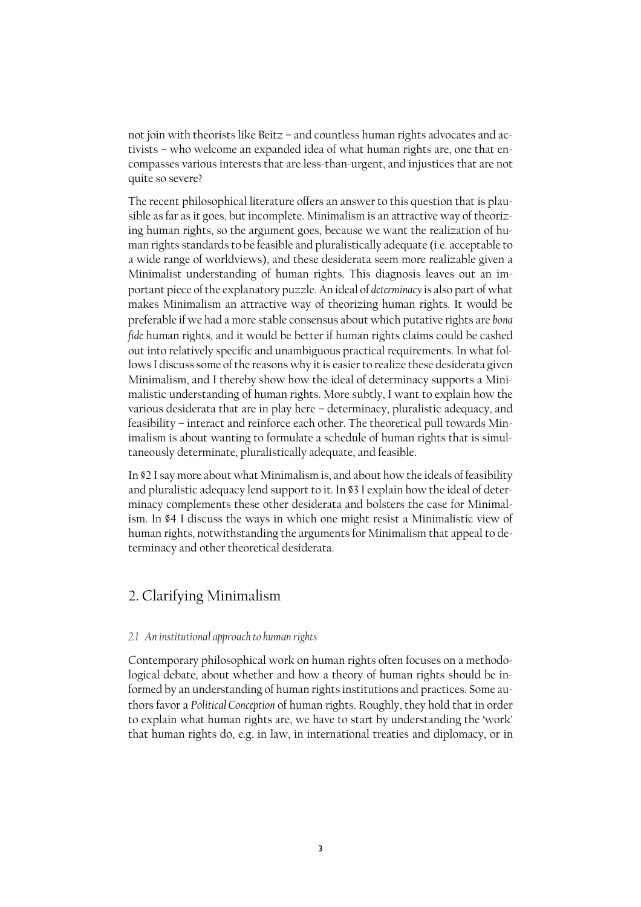not join with theorists like Beitz – and countless human rights advocates and activists – who welcome an expanded idea of what human rights are, one that encompasses various interests that are less-than-urgent, and injustices that are not quite so severe?

The recent philosophical literature offers an answer to this question that is plausible as far as it goes, but incomplete. Minimalism is an attractive way of theorizing human rights, so the argument goes, because we want the realization of human rights standards to be feasible and pluralistically adequate (i.e. acceptable to a wide range of worldviews), and these desiderata seem more realizable given a Minimalist understanding of human rights. This diagnosis leaves out an important piece of the explanatory puzzle. An ideal of *determinacy* is also part of what makes Minimalism an attractive way of theorizing human rights. It would be preferable if we had a more stable consensus about which putative rights are *bona fide* human rights, and it would be better if human rights claims could be cashed out into relatively specific and unambiguous practical requirements. In what follows I discuss some of the reasons why it is easier to realize these desiderata given Minimalism, and I thereby show how the ideal of determinacy supports a Minimalistic understanding of human rights. More subtly, I want to explain how the various desiderata that are in play here – determinacy, pluralistic adequacy, and feasibility – interact and reinforce each other. The theoretical pull towards Minimalism is about wanting to formulate a schedule of human rights that is simultaneously determinate, pluralistically adequate, and feasible.

In §2 I say more about what Minimalism is, and about how the ideals of feasibility and pluralistic adequacy lend support to it. In §3 I explain how the ideal of determinacy complements these other desiderata and bolsters the case for Minimalism. In §4 I discuss the ways in which one might resist a Minimalistic view of human rights, notwithstanding the arguments for Minimalism that appeal to determinacy and other theoretical desiderata.

# 2. Clarifying Minimalism

#### *2.1 An institutional approach to human rights*

Contemporary philosophical work on human rights often focuses on a methodological debate, about whether and how a theory of human rights should be informed by an understanding of human rights institutions and practices. Some authors favor a *Political Conception* of human rights. Roughly, they hold that in order to explain what human rights are, we have to start by understanding the 'work' that human rights do, e.g. in law, in international treaties and diplomacy, or in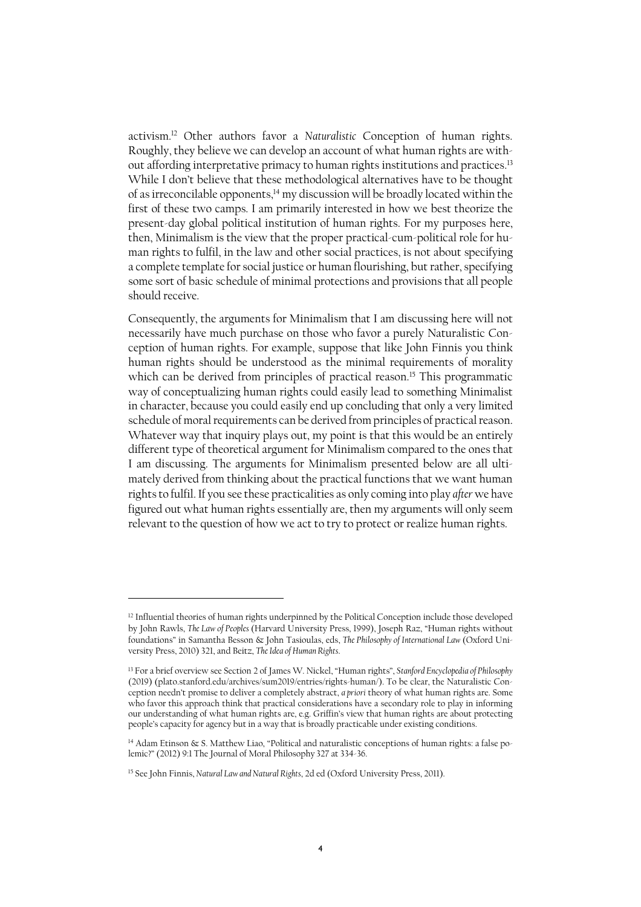activism. <sup>12</sup> Other authors favor a *Naturalistic* Conception of human rights. Roughly, they believe we can develop an account of what human rights are without affording interpretative primacy to human rights institutions and practices.<sup>13</sup> While I don't believe that these methodological alternatives have to be thought of as irreconcilable opponents,<sup>14</sup> my discussion will be broadly located within the first of these two camps. I am primarily interested in how we best theorize the present-day global political institution of human rights. For my purposes here, then, Minimalism is the view that the proper practical-cum-political role for human rights to fulfil, in the law and other social practices, is not about specifying a complete template for social justice or human flourishing, but rather, specifying some sort of basic schedule of minimal protections and provisions that all people should receive.

Consequently, the arguments for Minimalism that I am discussing here will not necessarily have much purchase on those who favor a purely Naturalistic Conception of human rights. For example, suppose that like John Finnis you think human rights should be understood as the minimal requirements of morality which can be derived from principles of practical reason.<sup>15</sup> This programmatic way of conceptualizing human rights could easily lead to something Minimalist in character, because you could easily end up concluding that only a very limited schedule of moral requirements can be derived from principles of practical reason. Whatever way that inquiry plays out, my point is that this would be an entirely different type of theoretical argument for Minimalism compared to the ones that I am discussing. The arguments for Minimalism presented below are all ultimately derived from thinking about the practical functions that we want human rights to fulfil. If you see these practicalities as only coming into play *after* we have figured out what human rights essentially are, then my arguments will only seem relevant to the question of how we act to try to protect or realize human rights.

<sup>&</sup>lt;sup>12</sup> Influential theories of human rights underpinned by the Political Conception include those developed by John Rawls, *The Law of Peoples* (Harvard University Press, 1999), Joseph Raz, "Human rights without foundations" in Samantha Besson & John Tasioulas, eds, *The Philosophy of International Law* (Oxford University Press, 2010) 321, and Beitz, *The Idea of Human Rights*.

<sup>13</sup> For a brief overview see Section 2 of James W. Nickel, "Human rights", *Stanford Encyclopedia of Philosophy*  (2019) (plato.stanford.edu/archives/sum2019/entries/rights-human/). To be clear, the Naturalistic Conception needn't promise to deliver a completely abstract, *a priori* theory of what human rights are. Some who favor this approach think that practical considerations have a secondary role to play in informing our understanding of what human rights are, e.g. Griffin's view that human rights are about protecting people's capacity for agency but in a way that is broadly practicable under existing conditions.

<sup>14</sup> Adam Etinson & S. Matthew Liao, "Political and naturalistic conceptions of human rights: a false polemic?" (2012) 9:1 The Journal of Moral Philosophy 327 at 334-36.

<sup>15</sup> See John Finnis, *Natural Law and Natural Rights*, 2d ed (Oxford University Press, 2011).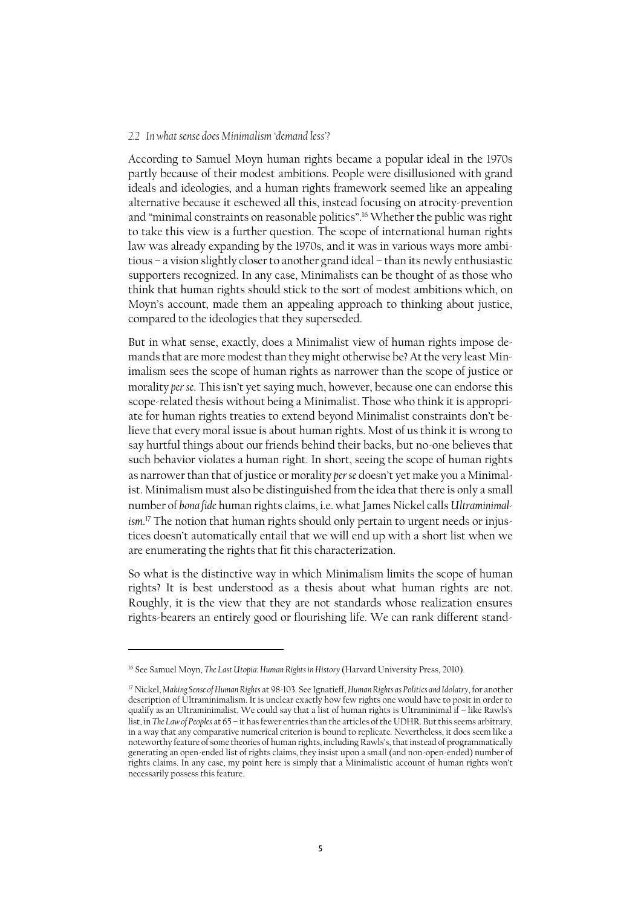#### *2.2 In what sense does Minimalism 'demand less'?*

According to Samuel Moyn human rights became a popular ideal in the 1970s partly because of their modest ambitions. People were disillusioned with grand ideals and ideologies, and a human rights framework seemed like an appealing alternative because it eschewed all this, instead focusing on atrocity-prevention and "minimal constraints on reasonable politics".<sup>16</sup> Whether the public was right to take this view is a further question. The scope of international human rights law was already expanding by the 1970s, and it was in various ways more ambitious – a vision slightly closer to another grand ideal – than its newly enthusiastic supporters recognized. In any case, Minimalists can be thought of as those who think that human rights should stick to the sort of modest ambitions which, on Moyn's account, made them an appealing approach to thinking about justice, compared to the ideologies that they superseded.

But in what sense, exactly, does a Minimalist view of human rights impose demands that are more modest than they might otherwise be? At the very least Minimalism sees the scope of human rights as narrower than the scope of justice or morality *per se*. This isn't yet saying much, however, because one can endorse this scope-related thesis without being a Minimalist. Those who think it is appropriate for human rights treaties to extend beyond Minimalist constraints don't believe that every moral issue is about human rights. Most of us think it is wrong to say hurtful things about our friends behind their backs, but no-one believes that such behavior violates a human right. In short, seeing the scope of human rights as narrower than that of justice or morality *per se* doesn't yet make you a Minimalist. Minimalism must also be distinguished from the idea that there is only a small number of *bona fide* human rights claims, i.e. what James Nickel calls *Ultraminimalism*. <sup>17</sup> The notion that human rights should only pertain to urgent needs or injustices doesn't automatically entail that we will end up with a short list when we are enumerating the rights that fit this characterization.

So what is the distinctive way in which Minimalism limits the scope of human rights? It is best understood as a thesis about what human rights are not. Roughly, it is the view that they are not standards whose realization ensures rights-bearers an entirely good or flourishing life. We can rank different stand-

<sup>16</sup> See Samuel Moyn, *The Last Utopia: Human Rights in History* (Harvard University Press, 2010).

<sup>17</sup> Nickel, *Making Sense of Human Rights* at 98-103. See Ignatieff, *Human Rights as Politics and Idolatry*, for another description of Ultraminimalism. It is unclear exactly how few rights one would have to posit in order to qualify as an Ultraminimalist. We could say that a list of human rights is Ultraminimal if – like Rawls's list, in *The Law of Peoples* at 65 – it has fewer entries than the articles of the UDHR. But this seems arbitrary, in a way that any comparative numerical criterion is bound to replicate. Nevertheless, it does seem like a noteworthy feature of some theories of human rights, including Rawls's, that instead of programmatically generating an open-ended list of rights claims, they insist upon a small (and non-open-ended) number of rights claims. In any case, my point here is simply that a Minimalistic account of human rights won't necessarily possess this feature.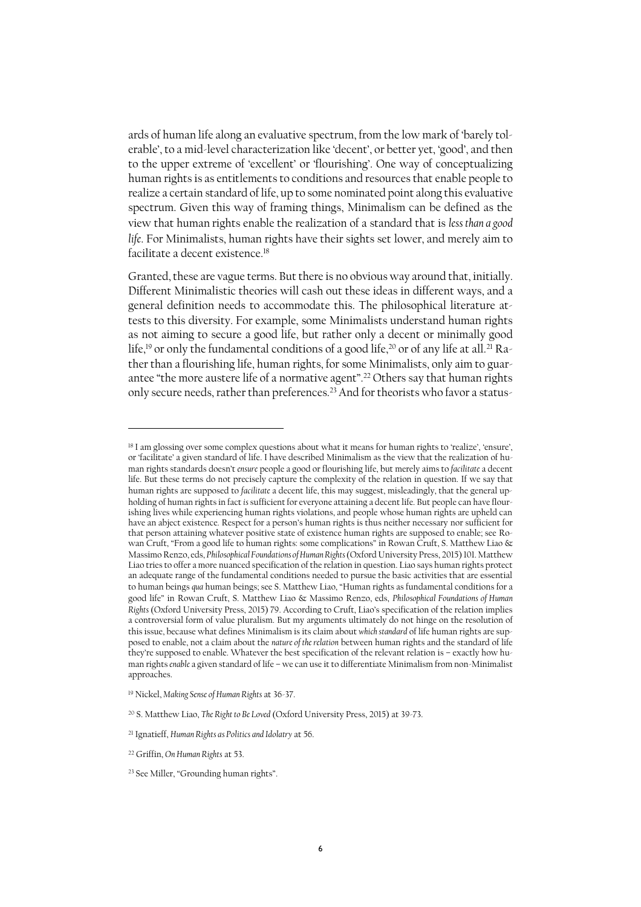ards of human life along an evaluative spectrum, from the low mark of 'barely tolerable', to a mid-level characterization like 'decent', or better yet, 'good', and then to the upper extreme of 'excellent' or 'flourishing'. One way of conceptualizing human rights is as entitlements to conditions and resources that enable people to realize a certain standard of life, up to some nominated point along this evaluative spectrum. Given this way of framing things, Minimalism can be defined as the view that human rights enable the realization of a standard that is *less than a good life*. For Minimalists, human rights have their sights set lower, and merely aim to facilitate a decent existence.<sup>18</sup>

Granted, these are vague terms. But there is no obvious way around that, initially. Different Minimalistic theories will cash out these ideas in different ways, and a general definition needs to accommodate this. The philosophical literature attests to this diversity. For example, some Minimalists understand human rights as not aiming to secure a good life, but rather only a decent or minimally good life,<sup>19</sup> or only the fundamental conditions of a good life,<sup>20</sup> or of any life at all.<sup>21</sup> Rather than a flourishing life, human rights, for some Minimalists, only aim to guarantee "the more austere life of a normative agent".<sup>22</sup> Others say that human rights only secure needs, rather than preferences.<sup>23</sup> And for theorists who favor a status-

 $\ddot{\phantom{a}}$ 

<sup>18</sup> I am glossing over some complex questions about what it means for human rights to 'realize', 'ensure', or 'facilitate' a given standard of life. I have described Minimalism as the view that the realization of human rights standards doesn't *ensure* people a good or flourishing life, but merely aims to *facilitate* a decent life. But these terms do not precisely capture the complexity of the relation in question. If we say that human rights are supposed to *facilitate* a decent life, this may suggest, misleadingly, that the general upholding of human rights in fact *is*sufficient for everyone attaining a decent life. But people can have flourishing lives while experiencing human rights violations, and people whose human rights are upheld can have an abject existence. Respect for a person's human rights is thus neither necessary nor sufficient for that person attaining whatever positive state of existence human rights are supposed to enable; see Rowan Cruft, "From a good life to human rights: some complications" in Rowan Cruft, S. Matthew Liao & Massimo Renzo, eds, *Philosophical Foundations of Human Rights* (Oxford University Press, 2015) 101. Matthew Liao tries to offer a more nuanced specification of the relation in question. Liao says human rights protect an adequate range of the fundamental conditions needed to pursue the basic activities that are essential to human beings *qua* human beings; see S. Matthew Liao, "Human rights as fundamental conditions for a good life" in Rowan Cruft, S. Matthew Liao & Massimo Renzo, eds, *Philosophical Foundations of Human Rights* (Oxford University Press, 2015) 79. According to Cruft, Liao's specification of the relation implies a controversial form of value pluralism. But my arguments ultimately do not hinge on the resolution of this issue, because what defines Minimalism is its claim about *which standard* of life human rights are supposed to enable, not a claim about the *nature of the relation* between human rights and the standard of life they're supposed to enable. Whatever the best specification of the relevant relation is – exactly how human rights *enable* a given standard of life – we can use it to differentiate Minimalism from non-Minimalist approaches.

<sup>19</sup> Nickel, *Making Sense of Human Rights* at 36-37.

<sup>20</sup> S. Matthew Liao, *The Right to Be Loved* (Oxford University Press, 2015) at 39-73.

<sup>21</sup> Ignatieff, *Human Rights as Politics and Idolatry* at 56.

<sup>22</sup> Griffin, *On Human Rights* at 53.

<sup>23</sup> See Miller, "Grounding human rights".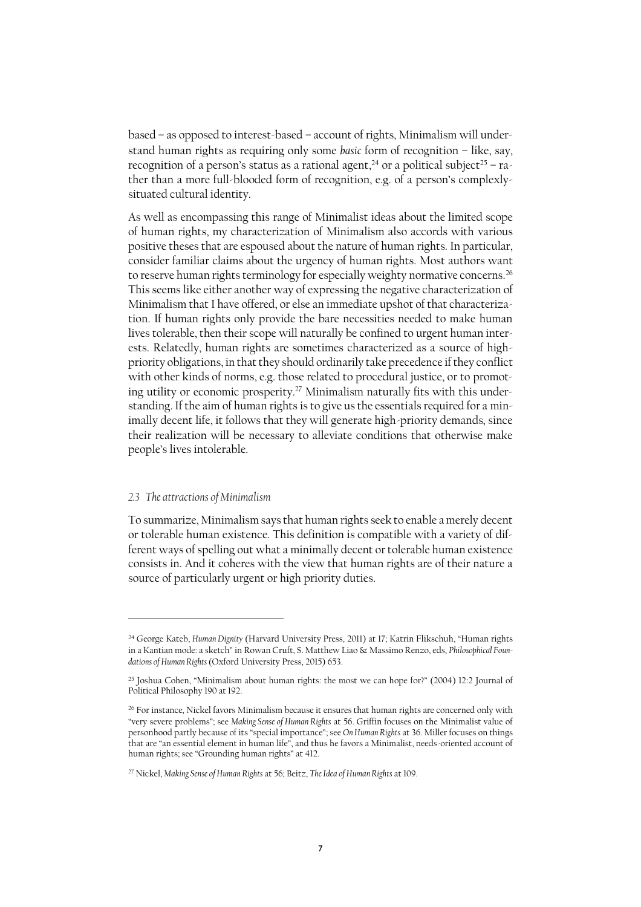based – as opposed to interest-based – account of rights, Minimalism will understand human rights as requiring only some *basic* form of recognition – like, say, recognition of a person's status as a rational agent,<sup>24</sup> or a political subject<sup>25</sup> – rather than a more full-blooded form of recognition, e.g. of a person's complexlysituated cultural identity.

As well as encompassing this range of Minimalist ideas about the limited scope of human rights, my characterization of Minimalism also accords with various positive theses that are espoused about the nature of human rights. In particular, consider familiar claims about the urgency of human rights. Most authors want to reserve human rights terminology for especially weighty normative concerns.<sup>26</sup> This seems like either another way of expressing the negative characterization of Minimalism that I have offered, or else an immediate upshot of that characterization. If human rights only provide the bare necessities needed to make human lives tolerable, then their scope will naturally be confined to urgent human interests. Relatedly, human rights are sometimes characterized as a source of highpriority obligations, in that they should ordinarily take precedence if they conflict with other kinds of norms, e.g. those related to procedural justice, or to promoting utility or economic prosperity. <sup>27</sup> Minimalism naturally fits with this understanding. If the aim of human rights is to give us the essentials required for a minimally decent life, it follows that they will generate high-priority demands, since their realization will be necessary to alleviate conditions that otherwise make people's lives intolerable.

#### *2.3 The attractions of Minimalism*

 $\overline{a}$ 

To summarize, Minimalism says that human rights seek to enable a merely decent or tolerable human existence. This definition is compatible with a variety of different ways of spelling out what a minimally decent or tolerable human existence consists in. And it coheres with the view that human rights are of their nature a source of particularly urgent or high priority duties.

<sup>24</sup> George Kateb, *Human Dignity* (Harvard University Press, 2011) at 17; Katrin Flikschuh, "Human rights in a Kantian mode: a sketch" in Rowan Cruft, S. Matthew Liao & Massimo Renzo, eds, *Philosophical Foundations of Human Rights* (Oxford University Press, 2015) 653.

<sup>25</sup> Joshua Cohen, "Minimalism about human rights: the most we can hope for?" (2004) 12:2 Journal of Political Philosophy 190 at 192.

<sup>&</sup>lt;sup>26</sup> For instance, Nickel favors Minimalism because it ensures that human rights are concerned only with "very severe problems"; see *Making Sense of Human Rights* at 56. Griffin focuses on the Minimalist value of personhood partly because of its "special importance"; see *On Human Rights* at 36. Miller focuses on things that are "an essential element in human life", and thus he favors a Minimalist, needs-oriented account of human rights; see "Grounding human rights" at 412.

<sup>27</sup> Nickel, *Making Sense of Human Rights* at 56; Beitz, *The Idea of Human Rights* at 109.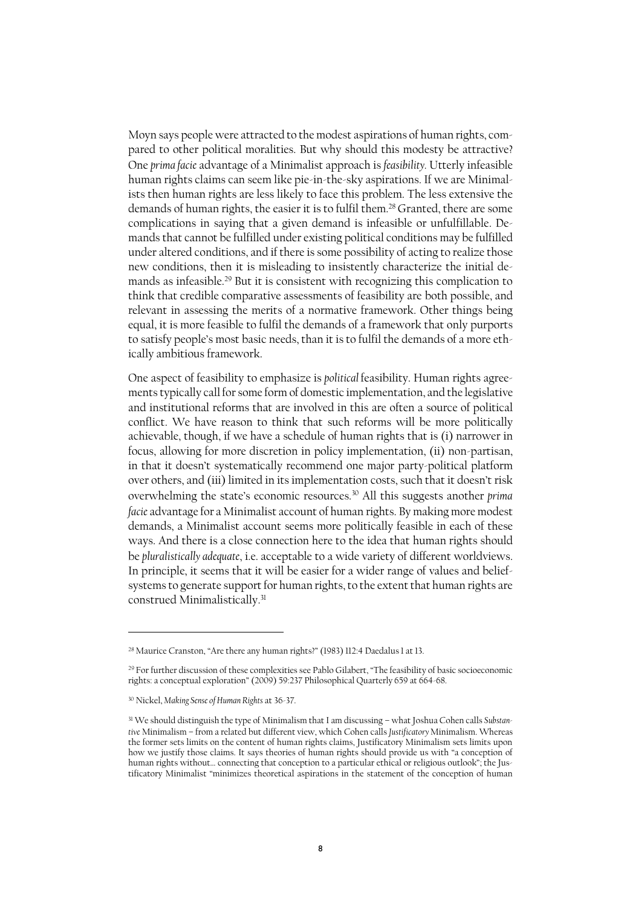Moyn says people were attracted to the modest aspirations of human rights, compared to other political moralities. But why should this modesty be attractive? One *prima facie* advantage of a Minimalist approach is *feasibility.* Utterly infeasible human rights claims can seem like pie-in-the-sky aspirations. If we are Minimalists then human rights are less likely to face this problem. The less extensive the demands of human rights, the easier it is to fulfil them. <sup>28</sup> Granted, there are some complications in saying that a given demand is infeasible or unfulfillable. Demands that cannot be fulfilled under existing political conditions may be fulfilled under altered conditions, and if there is some possibility of acting to realize those new conditions, then it is misleading to insistently characterize the initial demands as infeasible.<sup>29</sup> But it is consistent with recognizing this complication to think that credible comparative assessments of feasibility are both possible, and relevant in assessing the merits of a normative framework. Other things being equal, it is more feasible to fulfil the demands of a framework that only purports to satisfy people's most basic needs, than it is to fulfil the demands of a more ethically ambitious framework.

One aspect of feasibility to emphasize is *political* feasibility. Human rights agreements typically call for some form of domestic implementation, and the legislative and institutional reforms that are involved in this are often a source of political conflict. We have reason to think that such reforms will be more politically achievable, though, if we have a schedule of human rights that is (i) narrower in focus, allowing for more discretion in policy implementation, (ii) non-partisan, in that it doesn't systematically recommend one major party-political platform over others, and (iii) limited in its implementation costs, such that it doesn't risk overwhelming the state's economic resources.<sup>30</sup> All this suggests another *prima facie* advantage for a Minimalist account of human rights. By making more modest demands, a Minimalist account seems more politically feasible in each of these ways. And there is a close connection here to the idea that human rights should be *pluralistically adequate*, i.e. acceptable to a wide variety of different worldviews. In principle, it seems that it will be easier for a wider range of values and beliefsystems to generate support for human rights, to the extent that human rights are construed Minimalistically. 31

<sup>&</sup>lt;sup>28</sup> Maurice Cranston, "Are there any human rights?" (1983) 112:4 Daedalus 1 at 13.

<sup>&</sup>lt;sup>29</sup> For further discussion of these complexities see Pablo Gilabert, "The feasibility of basic socioeconomic rights: a conceptual exploration" (2009) 59:237 Philosophical Quarterly 659 at 664-68.

<sup>30</sup> Nickel, *Making Sense of Human Rights* at 36-37.

<sup>31</sup> We should distinguish the type of Minimalism that I am discussing – what Joshua Cohen calls *Substantive* Minimalism – from a related but different view, which Cohen calls *Justificatory* Minimalism. Whereas the former sets limits on the content of human rights claims, Justificatory Minimalism sets limits upon how we justify those claims. It says theories of human rights should provide us with "a conception of human rights without… connecting that conception to a particular ethical or religious outlook"; the Justificatory Minimalist "minimizes theoretical aspirations in the statement of the conception of human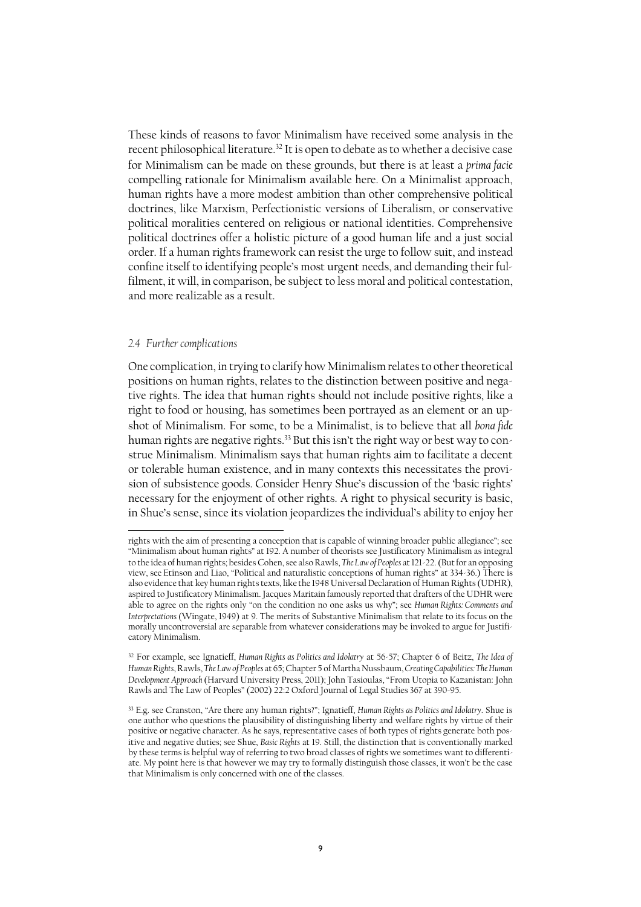These kinds of reasons to favor Minimalism have received some analysis in the recent philosophical literature. <sup>32</sup> It is open to debate as to whether a decisive case for Minimalism can be made on these grounds, but there is at least a *prima facie* compelling rationale for Minimalism available here. On a Minimalist approach, human rights have a more modest ambition than other comprehensive political doctrines, like Marxism, Perfectionistic versions of Liberalism, or conservative political moralities centered on religious or national identities. Comprehensive political doctrines offer a holistic picture of a good human life and a just social order. If a human rights framework can resist the urge to follow suit, and instead confine itself to identifying people's most urgent needs, and demanding their fulfilment, it will, in comparison, be subject to less moral and political contestation, and more realizable as a result.

#### *2.4 Further complications*

 $\overline{a}$ 

One complication, in trying to clarify how Minimalism relates to other theoretical positions on human rights, relates to the distinction between positive and negative rights. The idea that human rights should not include positive rights, like a right to food or housing, has sometimes been portrayed as an element or an upshot of Minimalism. For some, to be a Minimalist, is to believe that all *bona fide* human rights are negative rights.<sup>33</sup> But this isn't the right way or best way to construe Minimalism. Minimalism says that human rights aim to facilitate a decent or tolerable human existence, and in many contexts this necessitates the provision of subsistence goods. Consider Henry Shue's discussion of the 'basic rights' necessary for the enjoyment of other rights. A right to physical security is basic, in Shue's sense, since its violation jeopardizes the individual's ability to enjoy her

rights with the aim of presenting a conception that is capable of winning broader public allegiance"; see "Minimalism about human rights" at 192. A number of theorists see Justificatory Minimalism as integral to the idea of human rights; besides Cohen, see also Rawls, *The Law of Peoples* at 121-22. (But for an opposing view, see Etinson and Liao, "Political and naturalistic conceptions of human rights" at 334-36.) There is also evidence that key human rights texts, like the 1948 Universal Declaration of Human Rights (UDHR), aspired to Justificatory Minimalism. Jacques Maritain famously reported that drafters of the UDHR were able to agree on the rights only "on the condition no one asks us why"; see *Human Rights: Comments and Interpretations* (Wingate, 1949) at 9. The merits of Substantive Minimalism that relate to its focus on the morally uncontroversial are separable from whatever considerations may be invoked to argue for Justificatory Minimalism.

<sup>32</sup> For example, see Ignatieff, *Human Rights as Politics and Idolatry* at 56-57; Chapter 6 of Beitz, *The Idea of Human Rights*, Rawls, *The Law of Peoples* at 65; Chapter 5 of Martha Nussbaum, *Creating Capabilities: The Human Development Approach* (Harvard University Press, 2011); John Tasioulas, "From Utopia to Kazanistan: John Rawls and The Law of Peoples" (2002) 22:2 Oxford Journal of Legal Studies 367 at 390-95.

<sup>33</sup> E.g. see Cranston, "Are there any human rights?"; Ignatieff, *Human Rights as Politics and Idolatry*. Shue is one author who questions the plausibility of distinguishing liberty and welfare rights by virtue of their positive or negative character. As he says, representative cases of both types of rights generate both positive and negative duties; see Shue, *Basic Rights* at 19. Still, the distinction that is conventionally marked by these terms is helpful way of referring to two broad classes of rights we sometimes want to differentiate. My point here is that however we may try to formally distinguish those classes, it won't be the case that Minimalism is only concerned with one of the classes.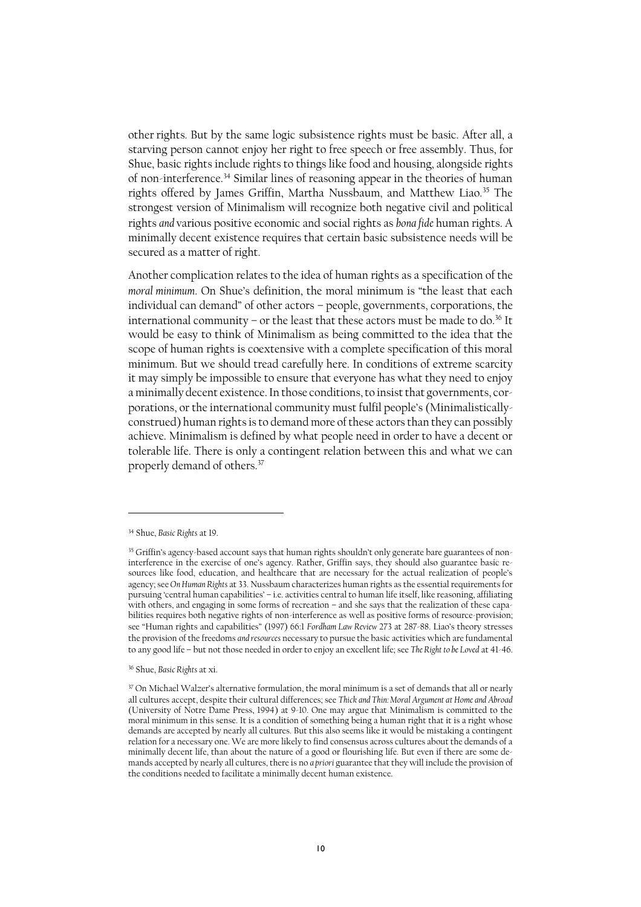other rights. But by the same logic subsistence rights must be basic. After all, a starving person cannot enjoy her right to free speech or free assembly. Thus, for Shue, basic rights include rights to things like food and housing, alongside rights of non-interference. <sup>34</sup> Similar lines of reasoning appear in the theories of human rights offered by James Griffin, Martha Nussbaum, and Matthew Liao.<sup>35</sup> The strongest version of Minimalism will recognize both negative civil and political rights *and* various positive economic and social rights as *bona fide* human rights. A minimally decent existence requires that certain basic subsistence needs will be secured as a matter of right.

Another complication relates to the idea of human rights as a specification of the *moral minimum*. On Shue's definition, the moral minimum is "the least that each individual can demand" of other actors – people, governments, corporations, the international community – or the least that these actors must be made to do.<sup>36</sup> It would be easy to think of Minimalism as being committed to the idea that the scope of human rights is coextensive with a complete specification of this moral minimum. But we should tread carefully here. In conditions of extreme scarcity it may simply be impossible to ensure that everyone has what they need to enjoy a minimally decent existence. In those conditions, to insist that governments, corporations, or the international community must fulfil people's (Minimalisticallyconstrued) human rights is to demand more of these actors than they can possibly achieve. Minimalism is defined by what people need in order to have a decent or tolerable life. There is only a contingent relation between this and what we can properly demand of others.<sup>37</sup>

<sup>34</sup> Shue, *Basic Rights* at 19.

<sup>&</sup>lt;sup>35</sup> Griffin's agency-based account says that human rights shouldn't only generate bare guarantees of noninterference in the exercise of one's agency. Rather, Griffin says, they should also guarantee basic resources like food, education, and healthcare that are necessary for the actual realization of people's agency; see *On Human Rights* at 33. Nussbaum characterizes human rights as the essential requirements for pursuing 'central human capabilities' – i.e. activities central to human life itself, like reasoning, affiliating with others, and engaging in some forms of recreation – and she says that the realization of these capabilities requires both negative rights of non-interference as well as positive forms of resource-provision; see "Human rights and capabilities" (1997) 66:1 *Fordham Law Review* 273 at 287-88. Liao's theory stresses the provision of the freedoms *and resources* necessary to pursue the basic activities which are fundamental to any good life – but not those needed in order to enjoy an excellent life; see *The Right to be Loved* at 41-46.

<sup>36</sup> Shue, *Basic Rights* at xi.

<sup>&</sup>lt;sup>37</sup> On Michael Walzer's alternative formulation, the moral minimum is a set of demands that all or nearly all cultures accept, despite their cultural differences; see *Thick and Thin: Moral Argument at Home and Abroad*  (University of Notre Dame Press, 1994) at 9-10. One may argue that Minimalism is committed to the moral minimum in this sense. It is a condition of something being a human right that it is a right whose demands are accepted by nearly all cultures. But this also seems like it would be mistaking a contingent relation for a necessary one. We are more likely to find consensus across cultures about the demands of a minimally decent life, than about the nature of a good or flourishing life. But even if there are some demands accepted by nearly all cultures, there is no *a priori* guarantee that they will include the provision of the conditions needed to facilitate a minimally decent human existence.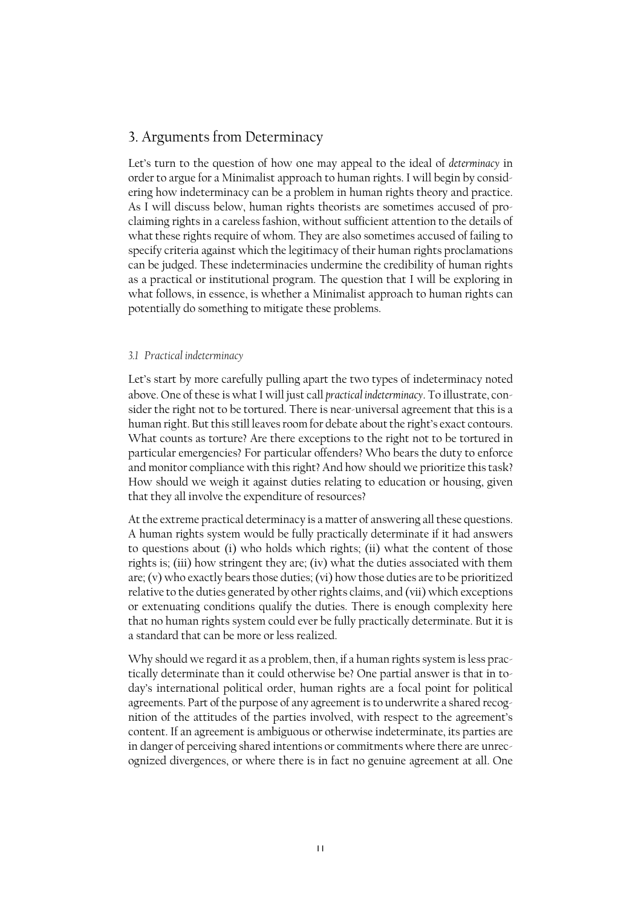# 3. Arguments from Determinacy

Let's turn to the question of how one may appeal to the ideal of *determinacy* in order to argue for a Minimalist approach to human rights. I will begin by considering how indeterminacy can be a problem in human rights theory and practice. As I will discuss below, human rights theorists are sometimes accused of proclaiming rights in a careless fashion, without sufficient attention to the details of what these rights require of whom. They are also sometimes accused of failing to specify criteria against which the legitimacy of their human rights proclamations can be judged. These indeterminacies undermine the credibility of human rights as a practical or institutional program. The question that I will be exploring in what follows, in essence, is whether a Minimalist approach to human rights can potentially do something to mitigate these problems.

#### *3.1 Practical indeterminacy*

Let's start by more carefully pulling apart the two types of indeterminacy noted above. One of these is what I will just call *practical indeterminacy*. To illustrate, consider the right not to be tortured. There is near-universal agreement that this is a human right. But this still leaves room for debate about the right's exact contours. What counts as torture? Are there exceptions to the right not to be tortured in particular emergencies? For particular offenders? Who bears the duty to enforce and monitor compliance with this right? And how should we prioritize this task? How should we weigh it against duties relating to education or housing, given that they all involve the expenditure of resources?

At the extreme practical determinacy is a matter of answering all these questions. A human rights system would be fully practically determinate if it had answers to questions about (i) who holds which rights; (ii) what the content of those rights is; (iii) how stringent they are; (iv) what the duties associated with them are; (v) who exactly bears those duties;(vi) how those duties are to be prioritized relative to the duties generated by other rights claims, and (vii) which exceptions or extenuating conditions qualify the duties. There is enough complexity here that no human rights system could ever be fully practically determinate. But it is a standard that can be more or less realized.

Why should we regard it as a problem, then, if a human rights system is less practically determinate than it could otherwise be? One partial answer is that in today's international political order, human rights are a focal point for political agreements. Part of the purpose of any agreement is to underwrite a shared recognition of the attitudes of the parties involved, with respect to the agreement's content. If an agreement is ambiguous or otherwise indeterminate, its parties are in danger of perceiving shared intentions or commitments where there are unrecognized divergences, or where there is in fact no genuine agreement at all. One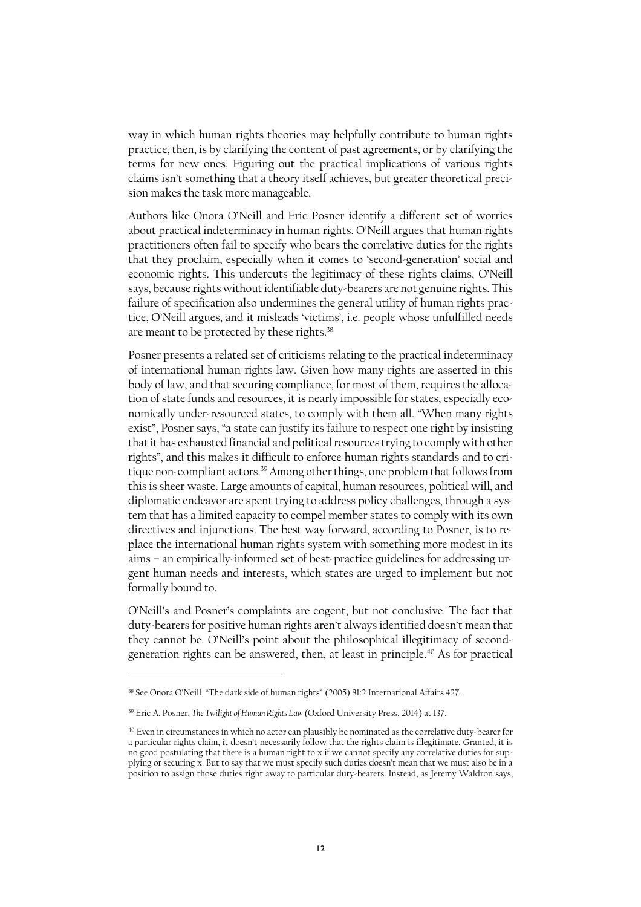way in which human rights theories may helpfully contribute to human rights practice, then, is by clarifying the content of past agreements, or by clarifying the terms for new ones. Figuring out the practical implications of various rights claims isn't something that a theory itself achieves, but greater theoretical precision makes the task more manageable.

Authors like Onora O'Neill and Eric Posner identify a different set of worries about practical indeterminacy in human rights. O'Neill argues that human rights practitioners often fail to specify who bears the correlative duties for the rights that they proclaim, especially when it comes to 'second-generation' social and economic rights. This undercuts the legitimacy of these rights claims, O'Neill says, because rights without identifiable duty-bearers are not genuine rights. This failure of specification also undermines the general utility of human rights practice, O'Neill argues, and it misleads 'victims', i.e. people whose unfulfilled needs are meant to be protected by these rights.<sup>38</sup>

Posner presents a related set of criticisms relating to the practical indeterminacy of international human rights law. Given how many rights are asserted in this body of law, and that securing compliance, for most of them, requires the allocation of state funds and resources, it is nearly impossible for states, especially economically under-resourced states, to comply with them all. "When many rights exist", Posner says, "a state can justify its failure to respect one right by insisting that it has exhausted financial and political resources trying to comply with other rights", and this makes it difficult to enforce human rights standards and to critique non-compliant actors.<sup>39</sup> Among other things, one problem that follows from this is sheer waste. Large amounts of capital, human resources, political will, and diplomatic endeavor are spent trying to address policy challenges, through a system that has a limited capacity to compel member states to comply with its own directives and injunctions. The best way forward, according to Posner, is to replace the international human rights system with something more modest in its aims – an empirically-informed set of best-practice guidelines for addressing urgent human needs and interests, which states are urged to implement but not formally bound to.

O'Neill's and Posner's complaints are cogent, but not conclusive. The fact that duty-bearers for positive human rights aren't always identified doesn't mean that they cannot be. O'Neill's point about the philosophical illegitimacy of secondgeneration rights can be answered, then, at least in principle.<sup>40</sup> As for practical

<sup>38</sup> See Onora O'Neill, "The dark side of human rights" (2005) 81:2 International Affairs 427.

<sup>39</sup> Eric A. Posner, *The Twilight of Human Rights Law* (Oxford University Press, 2014) at 137.

<sup>40</sup> Even in circumstances in which no actor can plausibly be nominated as the correlative duty-bearer for a particular rights claim, it doesn't necessarily follow that the rights claim is illegitimate. Granted, it is no good postulating that there is a human right to x if we cannot specify any correlative duties for supplying or securing x. But to say that we must specify such duties doesn't mean that we must also be in a position to assign those duties right away to particular duty-bearers. Instead, as Jeremy Waldron says,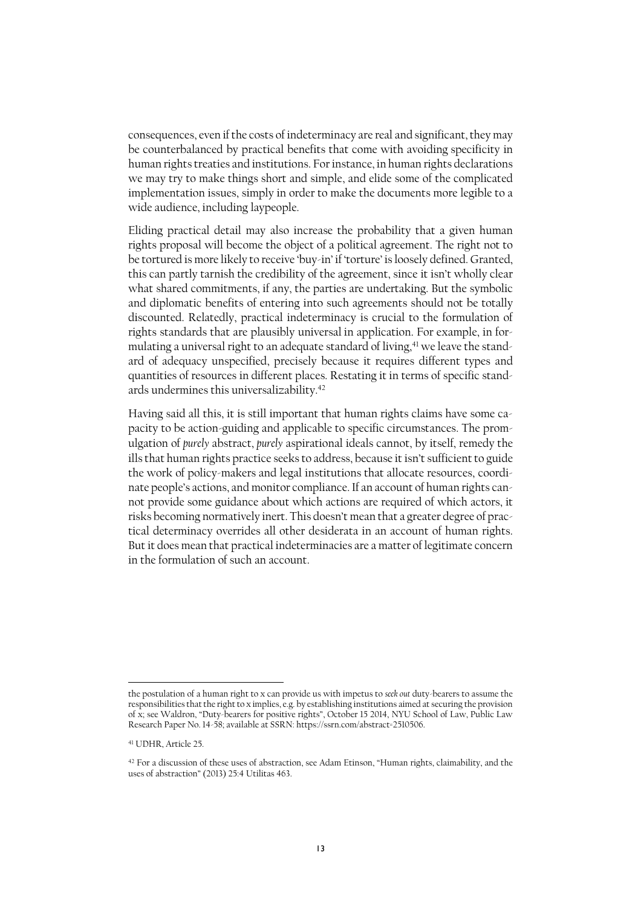consequences, even if the costs of indeterminacy are real and significant, they may be counterbalanced by practical benefits that come with avoiding specificity in human rights treaties and institutions. For instance, in human rights declarations we may try to make things short and simple, and elide some of the complicated implementation issues, simply in order to make the documents more legible to a wide audience, including laypeople.

Eliding practical detail may also increase the probability that a given human rights proposal will become the object of a political agreement. The right not to be tortured is more likely to receive 'buy-in' if 'torture' is loosely defined. Granted, this can partly tarnish the credibility of the agreement, since it isn't wholly clear what shared commitments, if any, the parties are undertaking. But the symbolic and diplomatic benefits of entering into such agreements should not be totally discounted. Relatedly, practical indeterminacy is crucial to the formulation of rights standards that are plausibly universal in application. For example, in formulating a universal right to an adequate standard of living,<sup>41</sup> we leave the standard of adequacy unspecified, precisely because it requires different types and quantities of resources in different places. Restating it in terms of specific standards undermines this universalizability. 42

Having said all this, it is still important that human rights claims have some capacity to be action-guiding and applicable to specific circumstances. The promulgation of *purely* abstract, *purely* aspirational ideals cannot, by itself, remedy the ills that human rights practice seeks to address, because it isn't sufficient to guide the work of policy-makers and legal institutions that allocate resources, coordinate people's actions, and monitor compliance. If an account of human rights cannot provide some guidance about which actions are required of which actors, it risks becoming normatively inert. This doesn't mean that a greater degree of practical determinacy overrides all other desiderata in an account of human rights. But it does mean that practical indeterminacies are a matter of legitimate concern in the formulation of such an account.

the postulation of a human right to x can provide us with impetus to *seek out* duty-bearers to assume the responsibilities that the right to x implies, e.g. by establishing institutions aimed at securing the provision of x; see Waldron, "Duty-bearers for positive rights", October 15 2014, NYU School of Law, Public Law Research Paper No. 14-58; available at SSRN: https://ssrn.com/abstract=2510506.

<sup>41</sup> UDHR, Article 25.

<sup>42</sup> For a discussion of these uses of abstraction, see Adam Etinson, "Human rights, claimability, and the uses of abstraction" (2013) 25:4 Utilitas 463.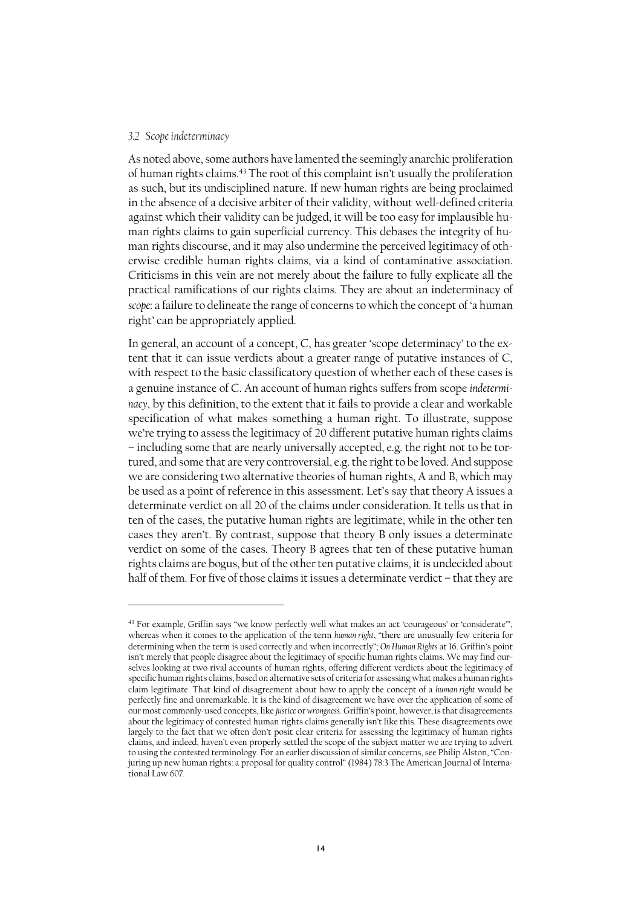#### *3.2 Scope indeterminacy*

As noted above, some authors have lamented the seemingly anarchic proliferation of human rights claims.<sup>43</sup> The root of this complaint isn't usually the proliferation as such, but its undisciplined nature. If new human rights are being proclaimed in the absence of a decisive arbiter of their validity, without well-defined criteria against which their validity can be judged, it will be too easy for implausible human rights claims to gain superficial currency. This debases the integrity of human rights discourse, and it may also undermine the perceived legitimacy of otherwise credible human rights claims, via a kind of contaminative association. Criticisms in this vein are not merely about the failure to fully explicate all the practical ramifications of our rights claims. They are about an indeterminacy of *scope*: a failure to delineate the range of concernsto which the concept of 'a human right' can be appropriately applied.

In general, an account of a concept, C, has greater 'scope determinacy' to the extent that it can issue verdicts about a greater range of putative instances of C, with respect to the basic classificatory question of whether each of these cases is a genuine instance of C. An account of human rights suffers from scope *indeterminacy*, by this definition, to the extent that it fails to provide a clear and workable specification of what makes something a human right. To illustrate, suppose we're trying to assess the legitimacy of 20 different putative human rights claims – including some that are nearly universally accepted, e.g. the right not to be tortured, and some that are very controversial, e.g. the right to be loved. And suppose we are considering two alternative theories of human rights, A and B, which may be used as a point of reference in this assessment. Let's say that theory A issues a determinate verdict on all 20 of the claims under consideration. It tells us that in ten of the cases, the putative human rights are legitimate, while in the other ten cases they aren't. By contrast, suppose that theory B only issues a determinate verdict on some of the cases. Theory B agrees that ten of these putative human rights claims are bogus, but of the other ten putative claims, it is undecided about half of them. For five of those claims it issues a determinate verdict – that they are

<sup>43</sup> For example, Griffin says "we know perfectly well what makes an act 'courageous' or 'considerate'", whereas when it comes to the application of the term *human right*, "there are unusually few criteria for determining when the term is used correctly and when incorrectly"; *On Human Rights* at 16. Griffin's point isn't merely that people disagree about the legitimacy of specific human rights claims. We may find ourselves looking at two rival accounts of human rights, offering different verdicts about the legitimacy of specific human rights claims, based on alternative sets of criteria for assessing what makes a human rights claim legitimate. That kind of disagreement about how to apply the concept of a *human right* would be perfectly fine and unremarkable. It is the kind of disagreement we have over the application of some of our most commonly-used concepts, like *justice* or *wrongness*. Griffin's point, however, is that disagreements about the legitimacy of contested human rights claims generally isn't like this. These disagreements owe largely to the fact that we often don't posit clear criteria for assessing the legitimacy of human rights claims, and indeed, haven't even properly settled the scope of the subject matter we are trying to advert to using the contested terminology. For an earlier discussion of similar concerns, see Philip Alston, "Conjuring up new human rights: a proposal for quality control" (1984) 78:3 The American Journal of International Law 607.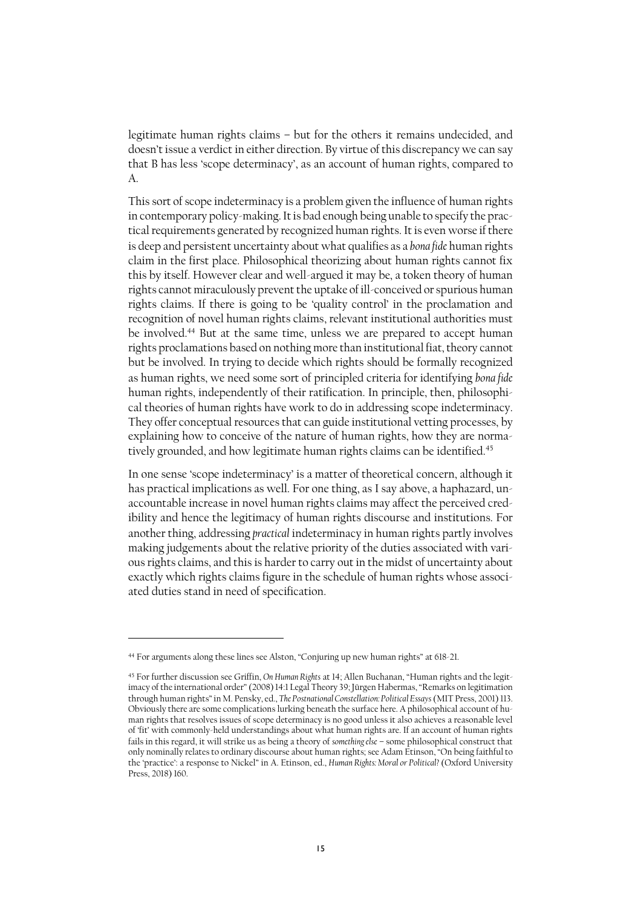legitimate human rights claims – but for the others it remains undecided, and doesn't issue a verdict in either direction. By virtue of this discrepancy we can say that B has less 'scope determinacy', as an account of human rights, compared to A.

This sort of scope indeterminacy is a problem given the influence of human rights in contemporary policy-making. It is bad enough being unable to specify the practical requirements generated by recognized human rights. It is even worse if there is deep and persistent uncertainty about what qualifies as a *bona fide* human rights claim in the first place. Philosophical theorizing about human rights cannot fix this by itself. However clear and well-argued it may be, a token theory of human rights cannot miraculously prevent the uptake of ill-conceived or spurious human rights claims. If there is going to be 'quality control' in the proclamation and recognition of novel human rights claims, relevant institutional authorities must be involved. <sup>44</sup> But at the same time, unless we are prepared to accept human rights proclamations based on nothing more than institutional fiat, theory cannot but be involved. In trying to decide which rights should be formally recognized as human rights, we need some sort of principled criteria for identifying *bona fide* human rights, independently of their ratification. In principle, then, philosophical theories of human rights have work to do in addressing scope indeterminacy. They offer conceptual resources that can guide institutional vetting processes, by explaining how to conceive of the nature of human rights, how they are normatively grounded, and how legitimate human rights claims can be identified. 45

In one sense 'scope indeterminacy' is a matter of theoretical concern, although it has practical implications as well. For one thing, as I say above, a haphazard, unaccountable increase in novel human rights claims may affect the perceived credibility and hence the legitimacy of human rights discourse and institutions. For another thing, addressing *practical* indeterminacy in human rights partly involves making judgements about the relative priority of the duties associated with various rights claims, and this is harder to carry out in the midst of uncertainty about exactly which rights claims figure in the schedule of human rights whose associated duties stand in need of specification.

<sup>44</sup> For arguments along these lines see Alston, "Conjuring up new human rights" at 618-21.

<sup>45</sup> For further discussion see Griffin, *On Human Rights* at 14; Allen Buchanan, "Human rights and the legitimacy of the international order" (2008) 14:1 Legal Theory 39; Jürgen Habermas, "Remarks on legitimation through human rights" in M. Pensky, ed., *The Postnational Constellation: Political Essays*(MIT Press, 2001) 113. Obviously there are some complications lurking beneath the surface here. A philosophical account of human rights that resolves issues of scope determinacy is no good unless it also achieves a reasonable level of 'fit' with commonly-held understandings about what human rights are. If an account of human rights fails in this regard, it will strike us as being a theory of *something else* – some philosophical construct that only nominally relates to ordinary discourse about human rights; see Adam Etinson, "On being faithful to the 'practice': a response to Nickel" in A. Etinson, ed., *Human Rights: Moral or Political?* (Oxford University Press, 2018) 160.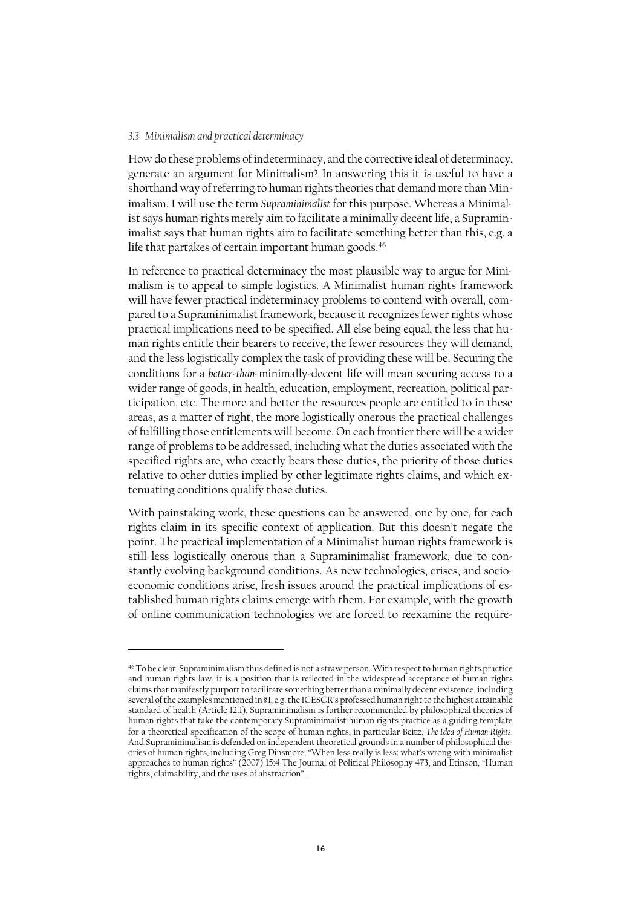#### *3.3 Minimalism and practical determinacy*

 $\overline{a}$ 

How do these problems of indeterminacy, and the corrective ideal of determinacy, generate an argument for Minimalism? In answering this it is useful to have a shorthand way of referring to human rights theories that demand more than Minimalism. I will use the term *Supraminimalist* for this purpose. Whereas a Minimalist says human rights merely aim to facilitate a minimally decent life, a Supraminimalist says that human rights aim to facilitate something better than this, e.g. a life that partakes of certain important human goods. 46

In reference to practical determinacy the most plausible way to argue for Minimalism is to appeal to simple logistics. A Minimalist human rights framework will have fewer practical indeterminacy problems to contend with overall, compared to a Supraminimalist framework, because it recognizes fewer rights whose practical implications need to be specified. All else being equal, the less that human rights entitle their bearers to receive, the fewer resources they will demand, and the less logistically complex the task of providing these will be. Securing the conditions for a *better-than*-minimally-decent life will mean securing access to a wider range of goods, in health, education, employment, recreation, political participation, etc. The more and better the resources people are entitled to in these areas, as a matter of right, the more logistically onerous the practical challenges of fulfilling those entitlements will become. On each frontier there will be a wider range of problems to be addressed, including what the duties associated with the specified rights are, who exactly bears those duties, the priority of those duties relative to other duties implied by other legitimate rights claims, and which extenuating conditions qualify those duties.

With painstaking work, these questions can be answered, one by one, for each rights claim in its specific context of application. But this doesn't negate the point. The practical implementation of a Minimalist human rights framework is still less logistically onerous than a Supraminimalist framework, due to constantly evolving background conditions. As new technologies, crises, and socioeconomic conditions arise, fresh issues around the practical implications of established human rights claims emerge with them. For example, with the growth of online communication technologies we are forced to reexamine the require-

<sup>46</sup> To be clear, Supraminimalism thus defined is not a straw person. With respect to human rights practice and human rights law, it is a position that is reflected in the widespread acceptance of human rights claims that manifestly purport to facilitate something better than a minimally decent existence, including several of the examples mentioned in §1, e.g. the ICESCR's professed human right to the highest attainable standard of health (Article 12.1). Supraminimalism is further recommended by philosophical theories of human rights that take the contemporary Supraminimalist human rights practice as a guiding template for a theoretical specification of the scope of human rights, in particular Beitz, *The Idea of Human Rights*. And Supraminimalism is defended on independent theoretical grounds in a number of philosophical theories of human rights, including Greg Dinsmore, "When less really is less: what's wrong with minimalist approaches to human rights" (2007) 15:4 The Journal of Political Philosophy 473, and Etinson, "Human rights, claimability, and the uses of abstraction".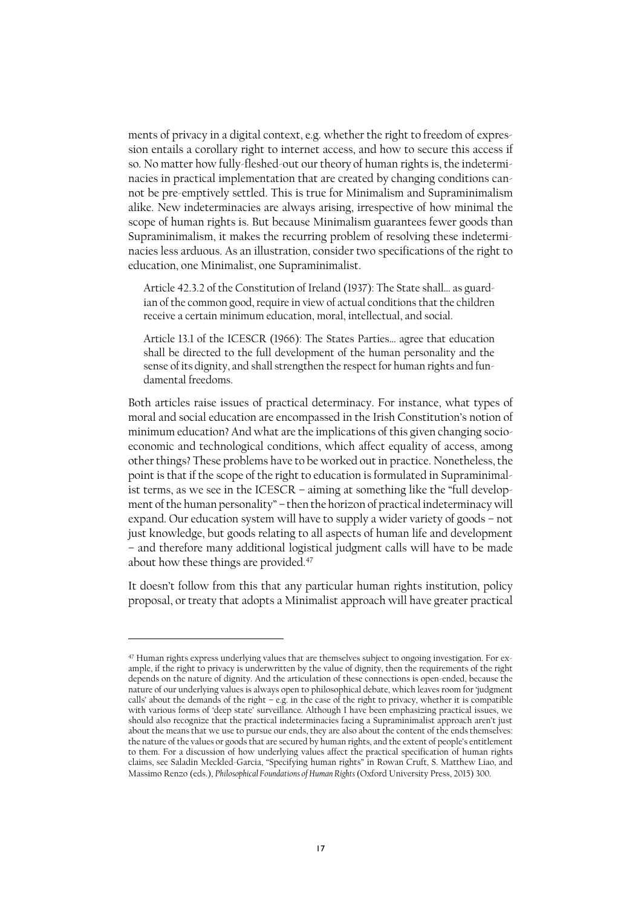ments of privacy in a digital context, e.g. whether the right to freedom of expression entails a corollary right to internet access, and how to secure this access if so. No matter how fully-fleshed-out our theory of human rights is, the indeterminacies in practical implementation that are created by changing conditions cannot be pre-emptively settled. This is true for Minimalism and Supraminimalism alike. New indeterminacies are always arising, irrespective of how minimal the scope of human rights is. But because Minimalism guarantees fewer goods than Supraminimalism, it makes the recurring problem of resolving these indeterminacies less arduous. As an illustration, consider two specifications of the right to education, one Minimalist, one Supraminimalist.

Article 42.3.2 of the Constitution of Ireland (1937): The State shall… as guardian of the common good, require in view of actual conditions that the children receive a certain minimum education, moral, intellectual, and social.

Article 13.1 of the ICESCR (1966): The States Parties… agree that education shall be directed to the full development of the human personality and the sense of its dignity, and shall strengthen the respect for human rights and fundamental freedoms.

Both articles raise issues of practical determinacy. For instance, what types of moral and social education are encompassed in the Irish Constitution's notion of minimum education? And what are the implications of this given changing socioeconomic and technological conditions, which affect equality of access, among other things? These problems have to be worked out in practice. Nonetheless, the point is that if the scope of the right to education is formulated in Supraminimalist terms, as we see in the ICESCR – aiming at something like the "full development of the human personality" – then the horizon of practical indeterminacy will expand. Our education system will have to supply a wider variety of goods – not just knowledge, but goods relating to all aspects of human life and development – and therefore many additional logistical judgment calls will have to be made about how these things are provided.<sup>47</sup>

It doesn't follow from this that any particular human rights institution, policy proposal, or treaty that adopts a Minimalist approach will have greater practical

<sup>47</sup> Human rights express underlying values that are themselves subject to ongoing investigation. For example, if the right to privacy is underwritten by the value of dignity, then the requirements of the right depends on the nature of dignity. And the articulation of these connections is open-ended, because the nature of our underlying values is always open to philosophical debate, which leaves room for 'judgment calls' about the demands of the right – e.g. in the case of the right to privacy, whether it is compatible with various forms of 'deep state' surveillance. Although I have been emphasizing practical issues, we should also recognize that the practical indeterminacies facing a Supraminimalist approach aren't just about the meansthat we use to pursue our ends, they are also about the content of the endsthemselves: the nature of the values or goods that are secured by human rights, and the extent of people's entitlement to them. For a discussion of how underlying values affect the practical specification of human rights claims, see Saladin Meckled-Garcia, "Specifying human rights" in Rowan Cruft, S. Matthew Liao, and Massimo Renzo (eds.), *Philosophical Foundations of Human Rights* (Oxford University Press, 2015) 300.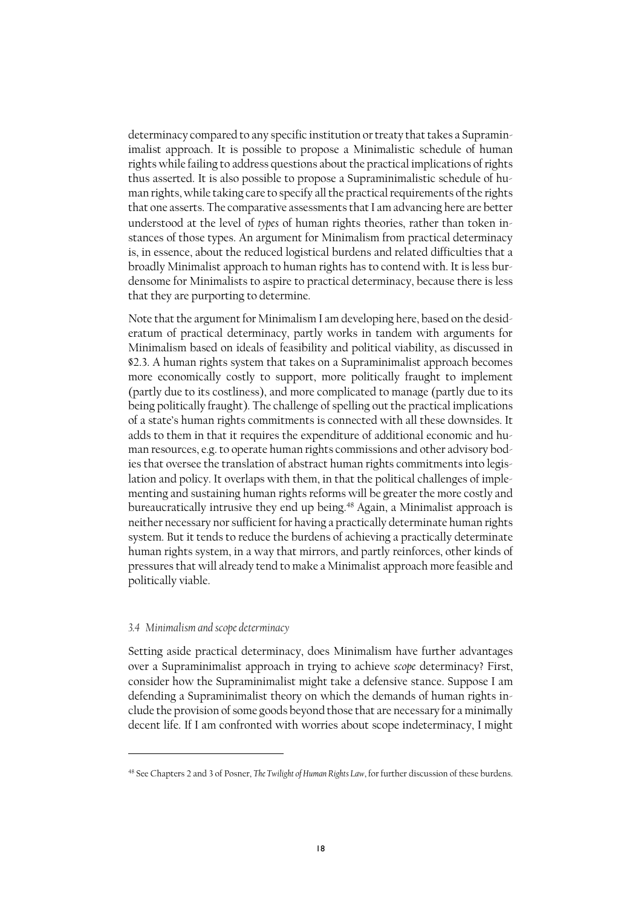determinacy compared to any specific institution or treaty that takes a Supraminimalist approach. It is possible to propose a Minimalistic schedule of human rights while failing to address questions about the practical implications of rights thus asserted. It is also possible to propose a Supraminimalistic schedule of human rights, while taking care to specify all the practical requirements of the rights that one asserts. The comparative assessments that I am advancing here are better understood at the level of *types* of human rights theories, rather than token instances of those types. An argument for Minimalism from practical determinacy is, in essence, about the reduced logistical burdens and related difficulties that a broadly Minimalist approach to human rights has to contend with. It is less burdensome for Minimalists to aspire to practical determinacy, because there is less that they are purporting to determine.

Note that the argument for Minimalism I am developing here, based on the desideratum of practical determinacy, partly works in tandem with arguments for Minimalism based on ideals of feasibility and political viability, as discussed in §2.3. A human rights system that takes on a Supraminimalist approach becomes more economically costly to support, more politically fraught to implement (partly due to its costliness), and more complicated to manage (partly due to its being politically fraught). The challenge of spelling out the practical implications of a state's human rights commitments is connected with all these downsides. It adds to them in that it requires the expenditure of additional economic and human resources, e.g. to operate human rights commissions and other advisory bodies that oversee the translation of abstract human rights commitments into legislation and policy. It overlaps with them, in that the political challenges of implementing and sustaining human rights reforms will be greater the more costly and bureaucratically intrusive they end up being.<sup>48</sup> Again, a Minimalist approach is neither necessary nor sufficient for having a practically determinate human rights system. But it tends to reduce the burdens of achieving a practically determinate human rights system, in a way that mirrors, and partly reinforces, other kinds of pressures that will already tend to make a Minimalist approach more feasible and politically viable.

#### *3.4 Minimalism and scope determinacy*

Setting aside practical determinacy, does Minimalism have further advantages over a Supraminimalist approach in trying to achieve *scope* determinacy? First, consider how the Supraminimalist might take a defensive stance. Suppose I am defending a Supraminimalist theory on which the demands of human rights include the provision of some goods beyond those that are necessary for a minimally decent life. If I am confronted with worries about scope indeterminacy, I might

<sup>48</sup> See Chapters 2 and 3 of Posner, *The Twilight of Human Rights Law*, for further discussion of these burdens.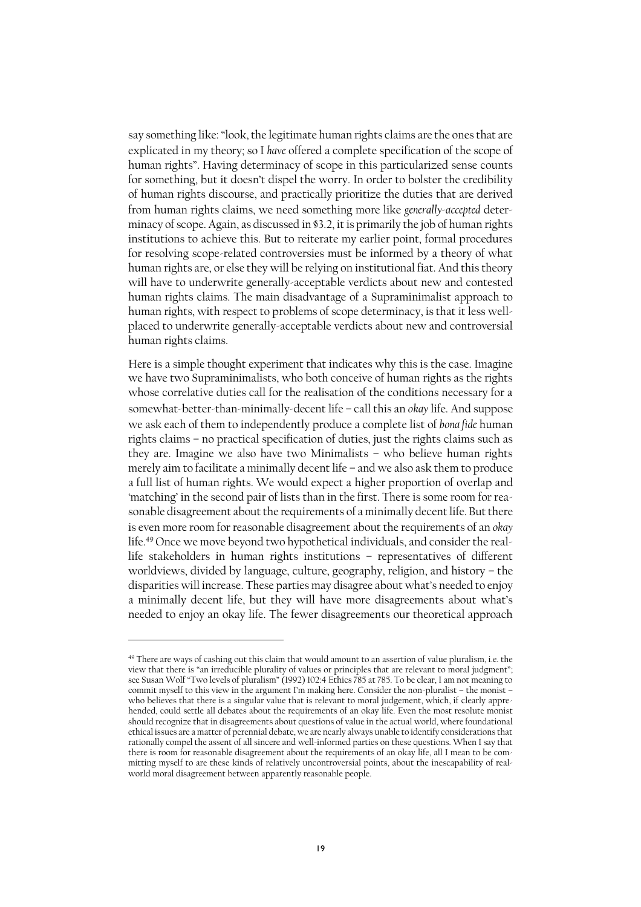say something like: "look, the legitimate human rights claims are the ones that are explicated in my theory; so I *have* offered a complete specification of the scope of human rights". Having determinacy of scope in this particularized sense counts for something, but it doesn't dispel the worry. In order to bolster the credibility of human rights discourse, and practically prioritize the duties that are derived from human rights claims, we need something more like *generally-accepted* determinacy of scope. Again, as discussed in §3.2, it is primarily the job of human rights institutions to achieve this. But to reiterate my earlier point, formal procedures for resolving scope-related controversies must be informed by a theory of what human rights are, or else they will be relying on institutional fiat. And this theory will have to underwrite generally-acceptable verdicts about new and contested human rights claims. The main disadvantage of a Supraminimalist approach to human rights, with respect to problems of scope determinacy, is that it less wellplaced to underwrite generally-acceptable verdicts about new and controversial human rights claims.

Here is a simple thought experiment that indicates why this is the case. Imagine we have two Supraminimalists, who both conceive of human rights as the rights whose correlative duties call for the realisation of the conditions necessary for a somewhat-better-than-minimally-decent life – call this an *okay* life. And suppose we ask each of them to independently produce a complete list of *bona fide* human rights claims – no practical specification of duties, just the rights claims such as they are. Imagine we also have two Minimalists – who believe human rights merely aim to facilitate a minimally decent life – and we also ask them to produce a full list of human rights. We would expect a higher proportion of overlap and 'matching' in the second pair of lists than in the first. There is some room for reasonable disagreement about the requirements of a minimally decent life. But there is even more room for reasonable disagreement about the requirements of an *okay* life. <sup>49</sup> Once we move beyond two hypothetical individuals, and consider the reallife stakeholders in human rights institutions – representatives of different worldviews, divided by language, culture, geography, religion, and history – the disparities will increase. These parties may disagree about what's needed to enjoy a minimally decent life, but they will have more disagreements about what's needed to enjoy an okay life. The fewer disagreements our theoretical approach

<sup>&</sup>lt;sup>49</sup> There are ways of cashing out this claim that would amount to an assertion of value pluralism, i.e. the view that there is "an irreducible plurality of values or principles that are relevant to moral judgment"; see Susan Wolf "Two levels of pluralism" (1992) 102:4 Ethics 785 at 785. To be clear, I am not meaning to commit myself to this view in the argument I'm making here. Consider the non-pluralist – the monist – who believes that there is a singular value that is relevant to moral judgement, which, if clearly apprehended, could settle all debates about the requirements of an okay life. Even the most resolute monist should recognize that in disagreements about questions of value in the actual world, where foundational ethical issues are a matter of perennial debate, we are nearly always unable to identify considerations that rationally compel the assent of all sincere and well-informed parties on these questions. When I say that there is room for reasonable disagreement about the requirements of an okay life, all I mean to be committing myself to are these kinds of relatively uncontroversial points, about the inescapability of realworld moral disagreement between apparently reasonable people.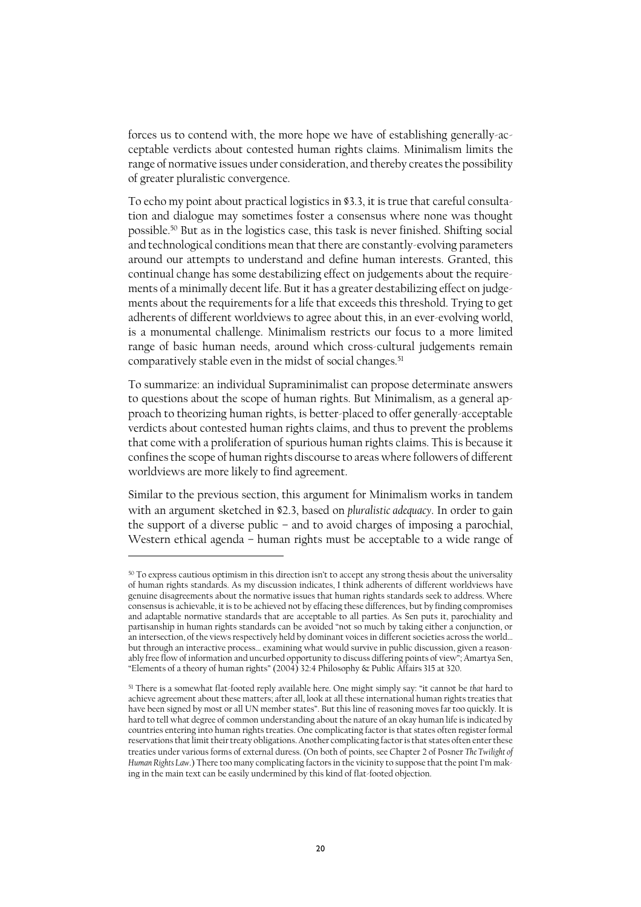forces us to contend with, the more hope we have of establishing generally-acceptable verdicts about contested human rights claims. Minimalism limits the range of normative issues under consideration, and thereby creates the possibility of greater pluralistic convergence.

To echo my point about practical logistics in §3.3, it is true that careful consultation and dialogue may sometimes foster a consensus where none was thought possible.<sup>50</sup> But as in the logistics case, this task is never finished. Shifting social and technological conditions mean that there are constantly-evolving parameters around our attempts to understand and define human interests. Granted, this continual change has some destabilizing effect on judgements about the requirements of a minimally decent life. But it has a greater destabilizing effect on judgements about the requirements for a life that exceeds this threshold. Trying to get adherents of different worldviews to agree about this, in an ever-evolving world, is a monumental challenge. Minimalism restricts our focus to a more limited range of basic human needs, around which cross-cultural judgements remain comparatively stable even in the midst of social changes.<sup>51</sup>

To summarize: an individual Supraminimalist can propose determinate answers to questions about the scope of human rights. But Minimalism, as a general approach to theorizing human rights, is better-placed to offer generally-acceptable verdicts about contested human rights claims, and thus to prevent the problems that come with a proliferation of spurious human rights claims. This is because it confines the scope of human rights discourse to areas where followers of different worldviews are more likely to find agreement.

Similar to the previous section, this argument for Minimalism works in tandem with an argument sketched in §2.3, based on *pluralistic adequacy*. In order to gain the support of a diverse public – and to avoid charges of imposing a parochial, Western ethical agenda – human rights must be acceptable to a wide range of

 $^{50}$  To express cautious optimism in this direction isn't to accept any strong thesis about the universality of human rights standards. As my discussion indicates, I think adherents of different worldviews have genuine disagreements about the normative issues that human rights standards seek to address. Where consensus is achievable, it is to be achieved not by effacing these differences, but by finding compromises and adaptable normative standards that are acceptable to all parties. As Sen puts it, parochiality and partisanship in human rights standards can be avoided "not so much by taking either a conjunction, or an intersection, of the views respectively held by dominant voices in different societies across the world… but through an interactive process… examining what would survive in public discussion, given a reasonably free flow of information and uncurbed opportunity to discuss differing points of view"; Amartya Sen, "Elements of a theory of human rights" (2004) 32:4 Philosophy & Public Affairs 315 at 320.

<sup>51</sup> There is a somewhat flat-footed reply available here. One might simply say: "it cannot be *that* hard to achieve agreement about these matters; after all, look at all these international human rights treaties that have been signed by most or all UN member states". But this line of reasoning moves far too quickly. It is hard to tell what degree of common understanding about the nature of an okay human life is indicated by countries entering into human rights treaties. One complicating factor is that states often register formal reservations that limit their treaty obligations. Another complicating factor is that states often enter these treaties under various forms of external duress. (On both of points, see Chapter 2 of Posner *The Twilight of Human Rights Law*.) There too many complicating factors in the vicinity to suppose that the point I'm making in the main text can be easily undermined by this kind of flat-footed objection.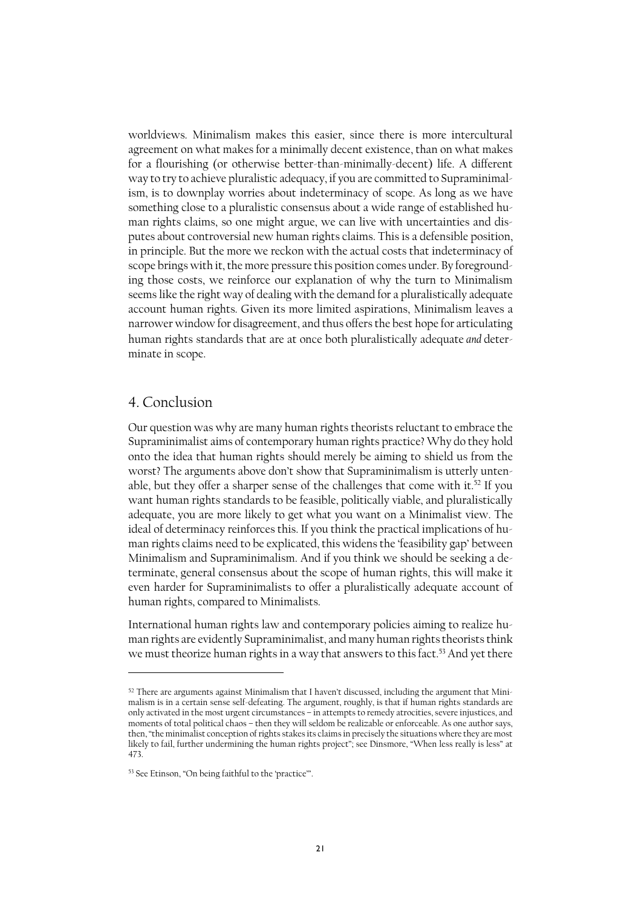worldviews. Minimalism makes this easier, since there is more intercultural agreement on what makes for a minimally decent existence, than on what makes for a flourishing (or otherwise better-than-minimally-decent) life. A different way to try to achieve pluralistic adequacy, if you are committed to Supraminimalism, is to downplay worries about indeterminacy of scope. As long as we have something close to a pluralistic consensus about a wide range of established human rights claims, so one might argue, we can live with uncertainties and disputes about controversial new human rights claims. This is a defensible position, in principle. But the more we reckon with the actual costs that indeterminacy of scope brings with it, the more pressure this position comes under. By foregrounding those costs, we reinforce our explanation of why the turn to Minimalism seems like the right way of dealing with the demand for a pluralistically adequate account human rights. Given its more limited aspirations, Minimalism leaves a narrower window for disagreement, and thus offers the best hope for articulating human rights standards that are at once both pluralistically adequate *and* determinate in scope.

### 4. Conclusion

 $\overline{a}$ 

Our question was why are many human rights theorists reluctant to embrace the Supraminimalist aims of contemporary human rights practice? Why do they hold onto the idea that human rights should merely be aiming to shield us from the worst? The arguments above don't show that Supraminimalism is utterly untenable, but they offer a sharper sense of the challenges that come with it. <sup>52</sup> If you want human rights standards to be feasible, politically viable, and pluralistically adequate, you are more likely to get what you want on a Minimalist view. The ideal of determinacy reinforces this. If you think the practical implications of human rights claims need to be explicated, this widensthe 'feasibility gap' between Minimalism and Supraminimalism. And if you think we should be seeking a determinate, general consensus about the scope of human rights, this will make it even harder for Supraminimalists to offer a pluralistically adequate account of human rights, compared to Minimalists.

International human rights law and contemporary policies aiming to realize human rights are evidently Supraminimalist, and many human rights theorists think we must theorize human rights in a way that answers to this fact. <sup>53</sup> And yet there

 $52$  There are arguments against Minimalism that I haven't discussed, including the argument that Minimalism is in a certain sense self-defeating. The argument, roughly, is that if human rights standards are only activated in the most urgent circumstances – in attempts to remedy atrocities, severe injustices, and moments of total political chaos – then they will seldom be realizable or enforceable. As one author says, then, "the minimalist conception of rights stakes its claims in precisely the situations where they are most likely to fail, further undermining the human rights project"; see Dinsmore, "When less really is less" at 473.

<sup>53</sup> See Etinson, "On being faithful to the 'practice'".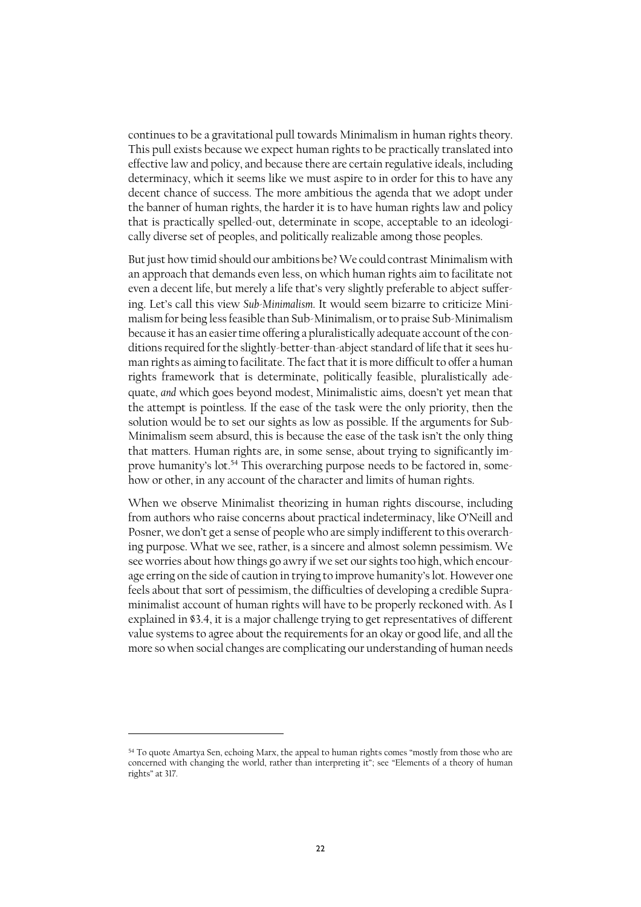continues to be a gravitational pull towards Minimalism in human rights theory. This pull exists because we expect human rights to be practically translated into effective law and policy, and because there are certain regulative ideals, including determinacy, which it seems like we must aspire to in order for this to have any decent chance of success. The more ambitious the agenda that we adopt under the banner of human rights, the harder it is to have human rights law and policy that is practically spelled-out, determinate in scope, acceptable to an ideologically diverse set of peoples, and politically realizable among those peoples.

But just how timid should our ambitions be?We could contrast Minimalism with an approach that demands even less, on which human rights aim to facilitate not even a decent life, but merely a life that's very slightly preferable to abject suffering. Let's call this view *Sub-Minimalism*. It would seem bizarre to criticize Minimalism for being less feasible than Sub-Minimalism, or to praise Sub-Minimalism because it has an easier time offering a pluralistically adequate account of the conditions required for the slightly-better-than-abject standard of life that it sees human rights as aiming to facilitate. The fact that it is more difficult to offer a human rights framework that is determinate, politically feasible, pluralistically adequate, *and* which goes beyond modest, Minimalistic aims, doesn't yet mean that the attempt is pointless. If the ease of the task were the only priority, then the solution would be to set our sights as low as possible. If the arguments for Sub-Minimalism seem absurd, this is because the ease of the task isn't the only thing that matters. Human rights are, in some sense, about trying to significantly improve humanity's lot. <sup>54</sup> This overarching purpose needs to be factored in, somehow or other, in any account of the character and limits of human rights.

When we observe Minimalist theorizing in human rights discourse, including from authors who raise concerns about practical indeterminacy, like O'Neill and Posner, we don't get a sense of people who are simply indifferent to this overarching purpose. What we see, rather, is a sincere and almost solemn pessimism. We see worries about how things go awry if we set our sights too high, which encourage erring on the side of caution in trying to improve humanity's lot. However one feels about that sort of pessimism, the difficulties of developing a credible Supraminimalist account of human rights will have to be properly reckoned with. As I explained in §3.4, it is a major challenge trying to get representatives of different value systems to agree about the requirements for an okay or good life, and all the more so when social changes are complicating our understanding of human needs

<sup>&</sup>lt;sup>54</sup> To quote Amartya Sen, echoing Marx, the appeal to human rights comes "mostly from those who are concerned with changing the world, rather than interpreting it"; see "Elements of a theory of human rights" at 317.